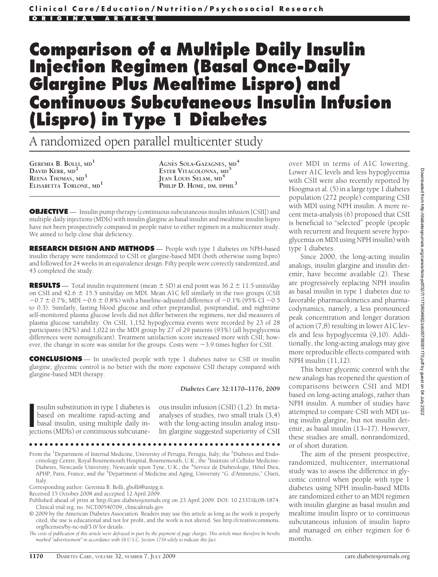# **Comparison of a Multiple Daily Insulin Injection Regimen (Basal Once-Daily Glargine Plus Mealtime Lispro) and Continuous Subcutaneous Insulin Infusion (Lispro) in Type 1 Diabetes**

A randomized open parallel multicenter study

**GEREMIA B. BOLLI, MD<sup>1</sup> DAVID KERR, MD<sup>2</sup> REENA THOMAS, MD<sup>3</sup> ELISABETTA TORLONE, MD<sup>1</sup>**

**AGNE`S SOLA-GAZAGNES, MD<sup>4</sup> ESTER VITACOLONNA, MD<sup>5</sup> JEAN LOUIS SELAM, MD<sup>4</sup> PHILIP D. HOME, DM, DPHIL<sup>3</sup>**

**OBJECTIVE** — Insulin pump therapy (continuous subcutaneous insulin infusion [CSII]) and multiple daily injections (MDIs) with insulin glargine as basal insulin and mealtime insulin lispro have not been prospectively compared in people naïve to either regimen in a multicenter study. We aimed to help close that deficiency.

**RESEARCH DESIGN AND METHODS** - People with type 1 diabetes on NPH-based insulin therapy were randomized to CSII or glargine-based MDI (both otherwise using lispro) and followed for 24 weeks in an equivalence design. Fifty people were correctly randomized, and 43 completed the study.

**RESULTS** — Total insulin requirement (mean  $\pm$  SD) at end point was 36.2  $\pm$  11.5 units/day on CSII and  $42.6 \pm 15.5$  units/day on MDI. Mean A1C fell similarly in the two groups (CSII  $-0.7 \pm 0.7$ %; MDI  $-0.6 \pm 0.8$ %) with a baseline-adjusted difference of  $-0.1$ % (95% CI  $-0.5$ to 0.3). Similarly, fasting blood glucose and other preprandial, postprandial, and nighttime self-monitored plasma glucose levels did not differ between the regimens, nor did measures of plasma glucose variability. On CSII, 1,152 hypoglycemia events were recorded by 23 of 28 participants (82%) and 1,022 in the MDI group by 27 of 29 patients (93%) (all hypoglycemia differences were nonsignificant). Treatment satisfaction score increased more with CSII; however, the change in score was similar for the groups. Costs were  $\sim$  3.9 times higher for CSII.

**CONCLUSIONS** — In unselected people with type 1 diabetes naïve to CSII or insulin glargine, glycemic control is no better with the more expensive CSII therapy compared with glargine-based MDI therapy.

## *Diabetes Care* **32:1170–1176, 2009**

nsulin substitution in type 1 diabetes is<br>based on mealtime rapid-acting and<br>basal insulin, using multiple daily in-<br>jections (MDIs) or continuous subcutanensulin substitution in type 1 diabetes is based on mealtime rapid-acting and basal insulin, using multiple daily in-

ous insulin infusion (CSII) (1,2). In metaanalyses of studies, two small trials (3,4) with the long-acting insulin analog insulin glargine suggested superiority of CSII

●●●●●●●●●●●●●●●●●●●●●●●●●●●●●●●●●●●●●●●●●●●●●●●●●

From the <sup>1</sup>Department of Internal Medicine, University of Perugia, Perugia, Italy; the <sup>2</sup>Diabetes and Endocrinology Centre, Royal Bournemouth Hospital, Bournemouth, U.K.; the <sup>3</sup>Institute of Cellular Medicine-Diabetes, Newcastle University, Newcastle upon Tyne, U.K.; the <sup>4</sup>Service de Diabétologie, Hôtel Dieu, APHP, Paris, France; and the <sup>5</sup>Department of Medicine and Aging, University "G. d'Annunzio," Chieti, Italy.

Corresponding author: Geremia B. Bolli, gbolli@unipg.it.

Received 15 October 2008 and accepted 12 April 2009.

- Published ahead of print at http://care.diabetesjournals.org on 23 April 2009. DOI: 10.2337/dc08-1874. Clinical trial reg. no. NCT00540709, clinicaltrials.gov.
- © 2009 by the American Diabetes Association. Readers may use this article as long as the work is properly cited, the use is educational and not for profit, and the work is not altered. See http://creativecommons. org/licenses/by-nc-nd/3.0/ for details.

*The costs of publication of this article were defrayed in part by the payment of page charges. This article must therefore be hereby marked "advertisement" in accordance with 18 U.S.C. Section 1734 solely to indicate this fact.*

over MDI in terms of A1C lowering. Lower A1C levels and less hypoglycemia with CSII were also recently reported by Hoogma et al. (5) in a large type 1 diabetes population (272 people) comparing CSII with MDI using NPH insulin. A more recent meta-analysis (6) proposed that CSII is beneficial to "selected" people (people with recurrent and frequent severe hypoglycemia on MDI using NPH insulin) with type 1 diabetes.

Since 2000, the long-acting insulin analogs, insulin glargine and insulin detemir, have become available (2). These are progressively replacing NPH insulin as basal insulin in type 1 diabetes due to favorable pharmacokinetics and pharmacodynamics, namely, a less pronounced peak concentration and longer duration of action (7,8) resulting in lower A1C levels and less hypoglycemia (9,10). Additionally, the long-acting analogs may give more reproducible effects compared with NPH insulin (11,12).

This better glycemic control with the new analogs has reopened the question of comparisons between CSII and MDI based on long-acting analogs, rather than NPH insulin. A number of studies have attempted to compare CSII with MDI using insulin glargine, but not insulin detemir, as basal insulin (13–17). However, these studies are small, nonrandomized, or of short duration.

The aim of the present prospective, randomized, multicenter, international study was to assess the difference in glycemic control when people with type 1 diabetes using NPH insulin-based MDIs are randomized either to an MDI regimen with insulin glargine as basal insulin and mealtime insulin lispro or to continuous subcutaneous infusion of insulin lispro and managed on either regimen for 6 months.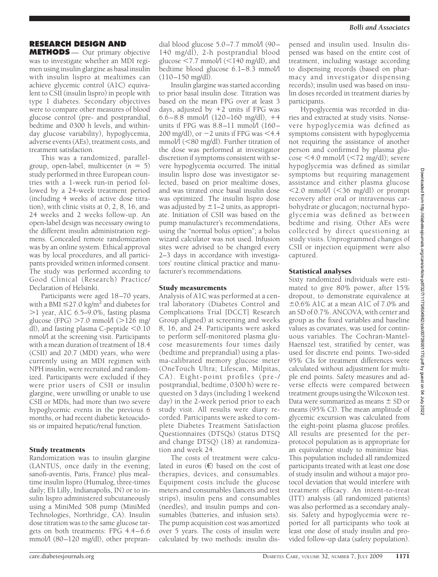# **RESEARCH DESIGN AND**

**METHODS** — Our primary objective was to investigate whether an MDI regimen using insulin glargine as basal insulin with insulin lispro at mealtimes can achieve glycemic control (A1C) equivalent to CSII (insulin lispro) in people with type 1 diabetes. Secondary objectives were to compare other measures of blood glucose control (pre- and postprandial, bedtime and 0300 h levels, and withinday glucose variability), hypoglycemia, adverse events (AEs), treatment costs, and treatment satisfaction.

This was a randomized, parallelgroup, open-label, multicenter  $(n = 5)$ study performed in three European countries with a 1-week run-in period followed by a 24-week treatment period (including 4 weeks of active dose titration), with clinic visits at 0, 2, 8, 16, and 24 weeks and 2 weeks follow-up. An open-label design was necessary owing to the different insulin administration regimens. Concealed remote randomization was by an online system. Ethical approval was by local procedures, and all participants provided written informed consent. The study was performed according to Good Clinical (Research) Practice/ Declaration of Helsinki.

Participants were aged 18–70 years, with a BMI  $\leq$ 27.0 kg/m<sup>2</sup> and diabetes for  $>1$  year, A1C 6.5–9.0%, fasting plasma glucose (FPG)  $>7.0$  mmol/l ( $>126$  mg/ dl), and fasting plasma C-peptide  $< 0.10$ nmol/l at the screening visit. Participants with a mean duration of treatment of 18.4 (CSII) and 20.7 (MDI) years, who were currently using an MDI regimen with NPH insulin, were recruited and randomized. Participants were excluded if they were prior users of CSII or insulin glargine, were unwilling or unable to use CSII or MDIs, had more than two severe hypoglycemic events in the previous 6 months, or had recent diabetic ketoacidosis or impaired hepatic/renal function.

## Study treatments

Randomization was to insulin glargine (LANTUS, once daily in the evening; sanofi-aventis, Paris, France) plus mealtime insulin lispro (Humalog, three-times daily; Eli Lilly, Indianapolis, IN) or to insulin lispro administered subcutaneously using a MiniMed 508 pump (MiniMed Technologies, Northridge, CA). Insulin dose titration was to the same glucose targets on both treatments: FPG 4.4–6.6 mmol/l (80–120 mg/dl), other prepran-

dial blood glucose 5.0–7.7 mmol/l (90– 140 mg/dl), 2-h postprandial blood glucose  $\leq 7.7$  mmol/l ( $\leq 140$  mg/dl), and bedtime blood glucose 6.1–8.3 mmol/l  $(110-150 \text{ mg/d}$ .

Insulin glargine was started according to prior basal insulin dose. Titration was based on the mean FPG over at least 3 days, adjusted by  $+2$  units if FPG was 6.6–8.8 mmol/l  $(120–160 \text{ mg/dl})$ , +4 units if FPG was  $8.8-11$  mmol $/1$  (160-200 mg/dl), or  $-2$  units if FPG was  $<$ 4.4 mmol/l (<80 mg/dl). Further titration of the dose was performed at investigator discretion if symptoms consistent with severe hypoglycemia occurred. The initial insulin lispro dose was investigator selected, based on prior mealtime doses, and was titrated once basal insulin dose was optimized. The insulin lispro dose was adjusted by  $\pm$  1–2 units, as appropriate. Initiation of CSII was based on the pump manufacturer's recommendations, using the "normal bolus option"; a bolus wizard calculator was not used. Infusion sites were advised to be changed every 2–3 days in accordance with investigators' routine clinical practice and manufacturer's recommendations.

#### Study measurements

Analysis of A1C was performed at a central laboratory (Diabetes Control and Complications Trial [DCCT] Research Group aligned) at screening and weeks 8, 16, and 24. Participants were asked to perform self-monitored plasma glucose measurements four times daily (bedtime and preprandial) using a plasma-calibrated memory glucose meter (OneTouch Ultra; Lifescan, Milpitas, CA). Eight-point profiles (pre-/ postprandial, bedtime, 0300 h) were requested on 3 days (including 1 weekend day) in the 2-week period prior to each study visit. All results were diary recorded. Participants were asked to complete Diabetes Treatment Satisfaction Questionnaires (DTSQs) (status DTSQ and change DTSQ) (18) at randomization and week 24.

The costs of treatment were calculated in euros  $(E)$  based on the cost of therapies, devices, and consumables. Equipment costs include the glucose meters and consumables (lancets and test strips), insulin pens and consumables (needles), and insulin pumps and consumables (batteries, and infusion sets). The pump acquisition cost was amortized over 5 years. The costs of insulin were calculated by two methods: insulin dispensed and insulin used. Insulin dispensed was based on the entire cost of treatment, including wastage according to dispensing records (based on pharmacy and investigator dispensing records); insulin used was based on insulin doses recorded in treatment diaries by participants.

Hypoglycemia was recorded in diaries and extracted at study visits. Nonsevere hypoglycemia was defined as symptoms consistent with hypoglycemia not requiring the assistance of another person and confirmed by plasma glu- $\cos\epsilon$  <4.0 mmol/l (<72 mg/dl); severe hypoglycemia was defined as similar symptoms but requiring management assistance and either plasma glucose  $\langle 2.0 \text{ mmol/l } (\langle 36 \text{ mg/dl} \rangle)$  or prompt recovery after oral or intravenous carbohydrate or glucagon; nocturnal hypoglycemia was defined as between bedtime and rising. Other AEs were collected by direct questioning at study visits. Unprogrammed changes of CSII or injection equipment were also captured.

## Statistical analyses

Sixty randomized individuals were estimated to give 80% power, after 15% dropout, to demonstrate equivalence at  $\pm 0.6\%$  A1C at a mean A1C of 7.0% and an SD of 0.7%. ANCOVA, with center and group as the fixed variables and baseline values as covariates, was used for continuous variables. The Cochran-Mantel-Haenszel test, stratified by center, was used for discrete end points. Two-sided 95% CIs for treatment differences were calculated without adjustment for multiple end points. Safety measures and adverse effects were compared between treatment groups using the Wilcoxon test. Data were summarized as means  $\pm$  SD or means (95% CI). The mean amplitude of glycemic excursion was calculated from the eight-point plasma glucose profiles. All results are presented for the perprotocol population as is appropriate for an equivalence study to minimize bias. This population included all randomized participants treated with at least one dose of study insulin and without a major protocol deviation that would interfere with treatment efficacy. An intent-to-treat (ITT) analysis (all randomized patients) was also performed as a secondary analysis. Safety and hypoglycemia were reported for all participants who took at least one dose of study insulin and provided follow-up data (safety population).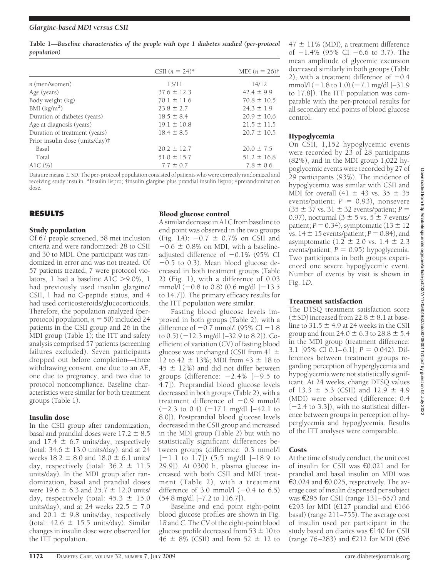| Table 1—Baseline characteristics of the people with type 1 diabetes studied (per-protocol |  |  |  |  |  |  |
|-------------------------------------------------------------------------------------------|--|--|--|--|--|--|
| population)                                                                               |  |  |  |  |  |  |

|                                 | CSII $(n = 24)^*$ | MDI $(n = 26)$ † |
|---------------------------------|-------------------|------------------|
| $n$ (men/women)                 | 13/11             | 14/12            |
| Age (years)                     | $37.6 \pm 12.3$   | $42.4 \pm 9.9$   |
| Body weight (kg)                | $70.1 \pm 11.6$   | $70.8 \pm 10.5$  |
| BMI $(kg/m2)$                   | $23.8 \pm 2.7$    | $24.3 \pm 1.9$   |
| Duration of diabetes (years)    | $18.5 \pm 8.4$    | $20.9 \pm 10.6$  |
| Age at diagnosis (years)        | $19.1 \pm 10.8$   | $21.5 \pm 11.5$  |
| Duration of treatment (years)   | $18.4 \pm 8.5$    | $20.7 \pm 10.5$  |
| Prior insulin dose (units/day)# |                   |                  |
| Basal                           | $20.2 \pm 12.7$   | $20.0 \pm 7.5$   |
| Total                           | $51.0 \pm 15.7$   | $51.2 \pm 16.8$  |
| AlC $(\%)$                      | $7.7 \pm 0.7$     | $7.8 \pm 0.6$    |

Data are means  $\pm$  SD. The per-protocol population consisted of patients who were correctly randomized and receiving study insulin. \*Insulin lispro; †insulin glargine plus prandial insulin lispro; ‡prerandomization dose.

# **RESULTS**

## Study population

Of 67 people screened, 58 met inclusion criteria and were randomized: 28 to CSII and 30 to MDI. One participant was randomized in error and was not treated. Of 57 patients treated, 7 were protocol violators, 1 had a baseline  $A1C > 9.0\%$ , 1 had previously used insulin glargine/ CSII, 1 had no C-peptide status, and 4 had used corticosteroids/glucocorticoids. Therefore, the population analyzed (perprotocol population,  $n = 50$ ) included 24 patients in the CSII group and 26 in the MDI group (Table 1); the ITT and safety analysis comprised 57 patients (screening failures excluded). Seven participants dropped out before completion—three withdrawing consent, one due to an AE, one due to pregnancy, and two due to protocol noncompliance. Baseline characteristics were similar for both treatment groups (Table 1).

## Insulin dose

In the CSII group after randomization, basal and prandial doses were  $17.2 \pm 8.5$ and 17.4  $\pm$  6.7 units/day, respectively (total:  $34.6 \pm 13.0$  units/day), and at 24 weeks  $18.2 \pm 8.0$  and  $18.0 \pm 6.1$  units/ day, respectively (total:  $36.2 \pm 11.5$ units/day). In the MDI group after randomization, basal and prandial doses were  $19.6 \pm 6.3$  and  $25.7 \pm 12.0$  units/ day, respectively (total:  $45.3 \pm 15.0$ units/day), and at 24 weeks  $22.5 \pm 7.0$ and 20.1  $\pm$  9.8 units/day, respectively (total:  $42.6 \pm 15.5$  units/day). Similar changes in insulin dose were observed for the ITT population.

## Blood glucose control

A similar decrease in A1C from baseline to end point was observed in the two groups (Fig. 1*A*):  $-0.7 \pm 0.7\%$  on CSII and  $-0.6 \pm 0.8\%$  on MDI, with a baselineadjusted difference of -0.1% (95% CI -0.5 to 0.3). Mean blood glucose decreased in both treatment groups (Table 2) (Fig. 1), with a difference of 0.03 mmol/l (-0.8 to 0.8) (0.6 mg/dl [-13.5 to 14.7]). The primary efficacy results for the ITT population were similar.

Fasting blood glucose levels improved in both groups (Table 2), with a difference of  $-0.7$  mmol/l (95% CI  $-1.8$ to 0.5) (-12.3 mg/dl [–32.9 to 8.2]). Coefficient of variation (CV) of fasting blood glucose was unchanged (CSII from  $41 \pm$ 12 to 42  $\pm$  13%; MDI from 43  $\pm$  18 to  $45 \pm 12\%$ ) and did not differ between groups (difference: -2.4% [-9.5 to 4.7]). Preprandial blood glucose levels decreased in both groups (Table 2), with a  $t$ reatment difference of  $-0.9$  mmol/l (-2.3 to 0.4) (-17.1 mg/dl [–42.1 to 8.0]). Postprandial blood glucose levels decreased in the CSII group and increased in the MDI group (Table 2) but with no statistically significant differences between groups (difference: 0.3 mmol/l [-1.1 to 1.7]) (5.5 mg/dl [–18.9 to 29.9]). At 0300 h, plasma glucose increased with both CSII and MDI treatment (Table 2), with a treatment difference of  $3.0 \text{ mmol/l}$  ( $-0.4 \text{ to } 6.5$ ) (54.8 mg/dl [–7.2 to 116.7]).

Baseline and end point eight-point blood glucose profiles are shown in Fig. 1*B* and *C*. The CV of the eight-point blood glucose profile decreased from  $53 \pm 10$  to  $\frac{3}{46} \pm 8\%$  (CSII) and from 52  $\pm$  12 to

 $47 \pm 11\%$  (MDI), a treatment difference of -1.4% (95% CI -6.6 to 3.7). The mean amplitude of glycemic excursion decreased similarly in both groups (Table 2), with a treatment difference of  $-0.4$ mmol/l (-1.8 to 1.0) (-7.1 mg/dl [–31.9 to 17.8]). The ITT population was comparable with the per-protocol results for all secondary end points of blood glucose control.

# Hypoglycemia

On CSII, 1,152 hypoglycemic events were recorded by 23 of 28 participants (82%), and in the MDI group 1,022 hypoglycemic events were recorded by 27 of 29 participants (93%). The incidence of hypoglycemia was similar with CSII and MDI for overall (41  $\pm$  43 vs. 35  $\pm$  35 events/patient;  $P = 0.93$ ), nonsevere  $(35 \pm 37 \text{ vs. } 31 \pm 32 \text{ events/patient}; P =$ 0.97), nocturnal ( $3 \pm 5$  vs.  $5 \pm 7$  events/ patient;  $P = 0.34$ ), symptomatic (13  $\pm$  12 vs.  $14 \pm 15$  events/patient;  $P = 0.84$ ), and asymptomatic (1.2  $\pm$  2.0 vs. 1.4  $\pm$  2.3 events/patient;  $P = 0.95$ ) hypoglycemia. Two participants in both groups experienced one severe hypoglycemic event. Number of events by visit is shown in Fig. 1*D*.

## Treatment satisfaction

The DTSQ treatment satisfaction score  $(\pm$ SD) increased from 22.8  $\pm$  8.1 at baseline to 31.5  $\pm$  4.9 at 24 weeks in the CSII group and from  $24.0 \pm 6.3$  to  $28.8 \pm 5.4$ in the MDI group (treatment difference: 3.1 [95% CI 0.1–6.1];  $P = 0.042$ ). Differences between treatment groups regarding perception of hyperglycemia and hypoglycemia were not statistically significant. At 24 weeks, change DTSQ values of 13.3  $\pm$  5.3 (CSII) and 12.9  $\pm$  4.9 (MDI) were observed (difference: 0.4 [-2.4 to 3.3]), with no statistical difference between groups in perception of hyperglycemia and hypoglycemia. Results of the ITT analyses were comparable.

## Costs

At the time of study conduct, the unit cost of insulin for CSII was €0.021 and for prandial and basal insulin on MDI was €0.024 and €0.025, respectively. The average cost of insulin dispensed per subject was €295 for CSII (range 131–657) and €293 for MDI (€127 prandial and €166 basal) (range 211–755). The average cost of insulin used per participant in the study based on diaries was €140 for CSII (range 76–283) and  $E$ 212 for MDI ( $E$ 96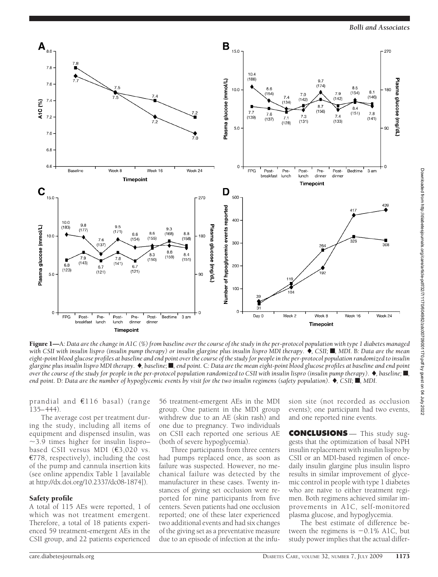

Figure 1—A: Data are the change in A1C (%) from baseline over the course of the study in the per-protocol population with type 1 diabetes managed with CSII with insulin lispro (insulin pump therapy) or insulin glargine plus insulin lispro MDI therapy.  $\bigstar$ , CSII; **I**, MDI. B: Data are the mean *eight-point blood glucose profiles at baseline and end point over the course of the study for people in the per-protocol population randomized to insulin glargine plus insulin lispro MDI therapy.* -*, baseline;* f*, end point.* C*: Data are the mean eight-point blood glucose profiles at baseline and end point over the course of the study for people in the per-protocol population randomized to CSII with insulin lispro (insulin pump therapy).* -*, baseline;* f*, end point.* D*: Data are the number of hypoglycemic events by visit for the two insulin regimens (safety population).* -*, CSII;* f*, MDI.*

prandial and €116 basal) (range 135–444).

The average cost per treatment during the study, including all items of equipment and dispensed insulin, was  $\sim$ 3.9 times higher for insulin lispro– based CSII versus MDI (€3,020 vs. €778, respectively), including the cost of the pump and cannula insertion kits (see online appendix Table 1 [available at http://dx.doi.org/10.2337/dc08-1874]).

## Safety profile

A total of 115 AEs were reported, 1 of which was not treatment emergent. Therefore, a total of 18 patients experienced 59 treatment-emergent AEs in the CSII group, and 22 patients experienced

56 treatment-emergent AEs in the MDI group. One patient in the MDI group withdrew due to an AE (skin rash) and one due to pregnancy. Two individuals on CSII each reported one serious AE (both of severe hypoglycemia).

Three participants from three centers had pumps replaced once, as soon as failure was suspected. However, no mechanical failure was detected by the manufacturer in these cases. Twenty instances of giving set occlusion were reported for nine participants from five centers. Seven patients had one occlusion reported; one of these later experienced two additional events and had six changes of the giving set as a preventative measure due to an episode of infection at the infusion site (not recorded as occlusion events); one participant had two events, and one reported nine events.

**CONCLUSIONS** — This study suggests that the optimization of basal NPH insulin replacement with insulin lispro by CSII or an MDI-based regimen of oncedaily insulin glargine plus insulin lispro results in similar improvement of glycemic control in people with type 1 diabetes who are naïve to either treatment regimen. Both regimens achieved similar improvements in A1C, self-monitored plasma glucose, and hypoglycemia.

The best estimate of difference between the regimens is  $-0.1\%$  A1C, but study power implies that the actual differ-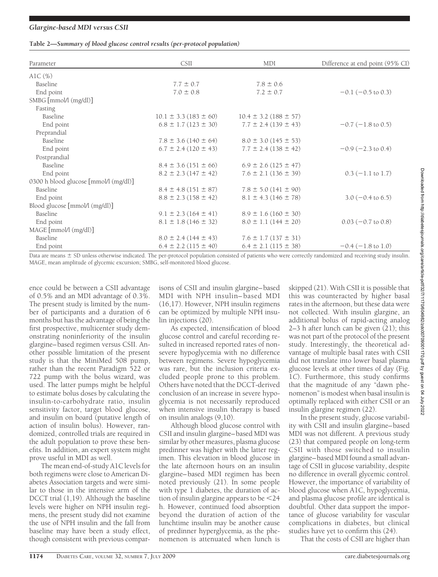## *Glargine-based MDI versus CSII*

## **Table 2—***Summary of blood glucose control results (per-protocol population)*

| Parameter                             | <b>CSII</b>                   | MDI                           | Difference at end point (95% CI) |  |
|---------------------------------------|-------------------------------|-------------------------------|----------------------------------|--|
| AlC $(\%)$                            |                               |                               |                                  |  |
| Baseline                              | $7.7 \pm 0.7$                 | $7.8 \pm 0.6$                 |                                  |  |
| End point                             | $7.0 \pm 0.8$                 | $7.2 \pm 0.7$                 | $-0.1$ ( $-0.5$ to 0.3)          |  |
| $SMBG$ [mmol/l $(mg/dl)$ ]            |                               |                               |                                  |  |
| Fasting                               |                               |                               |                                  |  |
| Baseline                              | $10.1 \pm 3.3$ (183 $\pm$ 60) | $10.4 \pm 3.2$ (188 $\pm$ 57) |                                  |  |
| End point                             | $6.8 \pm 1.7$ (123 $\pm$ 30)  | $7.7 \pm 2.4$ (139 $\pm$ 43)  | $-0.7$ ( $-1.8$ to 0.5)          |  |
| Preprandial                           |                               |                               |                                  |  |
| Baseline                              | $7.8 \pm 3.6$ (140 $\pm$ 64)  | $8.0 \pm 3.0$ (145 $\pm$ 53)  |                                  |  |
| End point                             | $6.7 \pm 2.4$ (120 $\pm$ 43)  | $7.7 \pm 2.4$ (138 $\pm$ 42)  | $-0.9$ ( $-2.3$ to 0.4)          |  |
| Postprandial                          |                               |                               |                                  |  |
| Baseline                              | $8.4 \pm 3.6$ (151 $\pm$ 66)  | $6.9 \pm 2.6$ (125 $\pm$ 47)  |                                  |  |
| End point                             | $8.2 \pm 2.3$ (147 $\pm$ 42)  | $7.6 \pm 2.1$ (136 $\pm$ 39)  | $0.3 (-1.1 \text{ to } 1.7)$     |  |
| 0300 h blood glucose [mmol/l (mg/dl)] |                               |                               |                                  |  |
| Baseline                              | $8.4 \pm 4.8$ (151 $\pm$ 87)  | $7.8 \pm 5.0$ (141 $\pm$ 90)  |                                  |  |
| End point                             | $8.8 \pm 2.3$ (158 $\pm$ 42)  | $8.1 \pm 4.3$ (146 $\pm$ 78)  | $3.0 (-0.4 \text{ to } 6.5)$     |  |
| Blood glucose [mmol/l (mg/dl)]        |                               |                               |                                  |  |
| Baseline                              | $9.1 \pm 2.3$ (164 $\pm$ 41)  | $8.9 \pm 1.6$ (160 $\pm$ 30)  |                                  |  |
| End point                             | $8.1 \pm 1.8$ (146 $\pm$ 32)  | $8.0 \pm 1.1$ (144 $\pm$ 20)  | $0.03 (-0.7 \text{ to } 0.8)$    |  |
| MAGE [mmol/l (mg/dl)]                 |                               |                               |                                  |  |
| Baseline                              | $8.0 \pm 2.4$ (144 $\pm$ 43)  | $7.6 \pm 1.7$ (137 $\pm$ 31)  |                                  |  |
| End point                             | $6.4 \pm 2.2$ (115 $\pm$ 40)  | $6.4 \pm 2.1$ (115 $\pm$ 38)  | $-0.4$ ( $-1.8$ to 1.0)          |  |

Data are means  $\pm$  SD unless otherwise indicated. The per-protocol population consisted of patients who were correctly randomized and receiving study insulin. MAGE, mean amplitude of glycemic excursion; SMBG, self-monitored blood glucose.

ence could be between a CSII advantage of 0.5% and an MDI advantage of 0.3%. The present study is limited by the number of participants and a duration of 6 months but has the advantage of being the first prospective, multicenter study demonstrating noninferiority of the insulin glargine–based regimen versus CSII. Another possible limitation of the present study is that the MiniMed 508 pump, rather than the recent Paradigm 522 or 722 pump with the bolus wizard, was used. The latter pumps might be helpful to estimate bolus doses by calculating the insulin-to-carbohydrate ratio, insulin sensitivity factor, target blood glucose, and insulin on board (putative length of action of insulin bolus). However, randomized, controlled trials are required in the adult population to prove these benefits. In addition, an expert system might prove useful in MDI as well.

The mean end-of-study A1C levels for both regimens were close to American Diabetes Association targets and were similar to those in the intensive arm of the DCCT trial (1,19). Although the baseline levels were higher on NPH insulin regimens, the present study did not examine the use of NPH insulin and the fall from baseline may have been a study effect, though consistent with previous compar-

isons of CSII and insulin glargine–based MDI with NPH insulin–based MDI (16,17). However, NPH insulin regimens can be optimized by multiple NPH insulin injections (20).

As expected, intensification of blood glucose control and careful recording resulted in increased reported rates of nonsevere hypoglycemia with no difference between regimens. Severe hypoglycemia was rare, but the inclusion criteria excluded people prone to this problem. Others have noted that the DCCT-derived conclusion of an increase in severe hypoglycemia is not necessarily reproduced when intensive insulin therapy is based on insulin analogs (9,10).

Although blood glucose control with CSII and insulin glargine–based MDI was similar by other measures, plasma glucose predinner was higher with the latter regimen. This elevation in blood glucose in the late afternoon hours on an insulin glargine–based MDI regimen has been noted previously (21). In some people with type 1 diabetes, the duration of action of insulin glargine appears to be 24 h. However, continued food absorption beyond the duration of action of the lunchtime insulin may be another cause of predinner hyperglycemia, as the phenomenon is attenuated when lunch is

skipped (21). With CSII it is possible that this was counteracted by higher basal rates in the afternoon, but these data were not collected. With insulin glargine, an additional bolus of rapid-acting analog 2–3 h after lunch can be given (21); this was not part of the protocol of the present study. Interestingly, the theoretical advantage of multiple basal rates with CSII did not translate into lower basal plasma glucose levels at other times of day (Fig. 1*C*). Furthermore, this study confirms that the magnitude of any "dawn phenomenon" is modest when basal insulin is optimally replaced with either CSII or an insulin glargine regimen (22).

In the present study, glucose variability with CSII and insulin glargine–based MDI was not different. A previous study (23) that compared people on long-term CSII with those switched to insulin glargine–based MDI found a small advantage of CSII in glucose variability, despite no difference in overall glycemic control. However, the importance of variability of blood glucose when A1C, hypoglycemia, and plasma glucose profile are identical is doubtful. Other data support the importance of glucose variability for vascular complications in diabetes, but clinical studies have yet to confirm this (24).

That the costs of CSII are higher than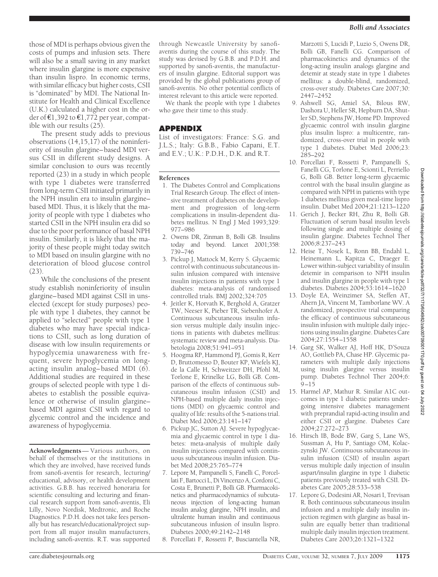those of MDI is perhaps obvious given the costs of pumps and infusion sets. There will also be a small saving in any market where insulin glargine is more expensive than insulin lispro. In economic terms, with similar efficacy but higher costs, CSII is "dominated" by MDI. The National Institute for Health and Clinical Excellence (U.K.) calculated a higher cost in the order of  $\epsilon$ 1,392 to  $\epsilon$ 1,772 per year, compatible with our results (25).

The present study adds to previous observations (14,15,17) of the noninferiority of insulin glargine–based MDI versus CSII in different study designs. A similar conclusion to ours was recently reported (23) in a study in which people with type 1 diabetes were transferred from long-term CSII initiated primarily in the NPH insulin era to insulin glargine– based MDI. Thus, it is likely that the majority of people with type 1 diabetes who started CSII in the NPH insulin era did so due to the poor performance of basal NPH insulin. Similarly, it is likely that the majority of these people might today switch to MDI based on insulin glargine with no deterioration of blood glucose control (23).

While the conclusions of the present study establish noninferiority of insulin glargine–based MDI against CSII in unselected (except for study purposes) people with type 1 diabetes, they cannot be applied to "selected" people with type 1 diabetes who may have special indications to CSII, such as long duration of disease with low insulin requirements or hypoglycemia unawareness with frequent, severe hypoglycemia on longacting insulin analog–based MDI (6). Additional studies are required in these groups of selected people with type 1 diabetes to establish the possible equivalence or otherwise of insulin glargine– based MDI against CSII with regard to glycemic control and the incidence and awareness of hypoglycemia.

**Acknowledgments**— Various authors, on behalf of themselves or the institutions in which they are involved, have received funds from sanofi-aventis for research, lecturing/ educational, advisory, or health development activities. G.B.B. has received honoraria for scientific consulting and lecturing and financial research support from sanofi-aventis, Eli Lilly, Novo Nordisk, Medtronic, and Roche Diagnostics. P.D.H. does not take fees personally but has research/educational/project support from all major insulin manufacturers, including sanofi-aventis. R.T. was supported

through Newcastle University by sanofiaventis during the course of this study. The study was devised by G.B.B. and P.D.H. and supported by sanofi-aventis, the manufacturers of insulin glargine. Editorial support was provided by the global publications group of sanofi-aventis. No other potential conflicts of interest relevant to this article were reported.

We thank the people with type 1 diabetes who gave their time to this study.

# **APPENDIX**

List of investigators: France: S.G. and J.L.S.; Italy: G.B.B., Fabio Capani, E.T. and E.V.; U.K.: P.D.H., D.K. and R.T.

## **References**

- 1. The Diabetes Control and Complications Trial Research Group. The effect of intensive treatment of diabetes on the development and progression of long-term complications in insulin-dependent diabetes mellitus. N Engl J Med 1993;329: 977–986
- 2. Owens DR, Zinman B, Bolli GB. Insulins today and beyond. Lancet 2001;358: 739–746
- 3. Pickup J, Mattock M, Kerry S. Glycaemic control with continuous subcutaneous insulin infusion compared with intensive insulin injections in patients with type 1 diabetes: meta-analysis of randomised controlled trials. BMJ 2002;324:705
- 4. Jeitler K, Horvath K, Berghold A, Gratzer TW, Neeser K, Pieber TR, Siebenhofer A. Continuous subcutaneous insulin infusion versus multiple daily insulin injections in patients with diabetes mellitus: systematic review and meta-analysis. Diabetologia 2008;51:941–951
- 5. Hoogma RP, Hammond PJ, Gomis R, Kerr D, Bruttomesso D, Bouter KP, Wiefels KJ, de la Calle H, Schweitzer DH, Pfohl M, Torlone E, Krinelke LG, Bolli GB. Comparison of the effects of continuous subcutaneous insulin infusion (CSII) and NPH-based multiple daily insulin injections (MDI) on glycaemic control and quality of life: results of the 5-nations trial. Diabet Med 2006;23:141–147
- 6. Pickup JC, Sutton AJ. Severe hypoglycaemia and glycaemic control in type 1 diabetes: meta-analysis of multiple daily insulin injections compared with continuous subcutaneous insulin infusion. Diabet Med 2008;25:765–774
- 7. Lepore M, Pampanelli S, Fanelli C, Porcellati F, Bartocci L, Di Vincenzo A, Cordoni C, Costa E, Brunetti P, Bolli GB. Pharmacokinetics and pharmacodynamics of subcutaneous injection of long-acting human insulin analog glargine, NPH insulin, and ultralente human insulin and continuous subcutaneous infusion of insulin lispro. Diabetes 2000;49:2142–2148
- 8. Porcellati F, Rossetti P, Busciantella NR,

Marzotti S, Lucidi P, Luzio S, Owens DR, Bolli GB, Fanelli CG. Comparison of pharmacokinetics and dynamics of the long-acting insulin analogs glargine and detemir at steady state in type 1 diabetes mellitus: a double-blind, randomized, cross-over study. Diabetes Care 2007;30: 2447–2452

- 9. Ashwell SG, Amiel SA, Bilous RW, Dashora U, Heller SR, Hepburn DA, Shutler SD, Stephens JW, Home PD. Improved glycaemic control with insulin glargine plus insulin lispro: a multicentre, randomized, cross-over trial in people with type 1 diabetes. Diabet Med 2006;23: 285–292
- 10. Porcellati F, Rossetti P, Pampanelli S, Fanelli CG, Torlone E, Scionti L, Perriello G, Bolli GB. Better long-term glycaemic control with the basal insulin glargine as compared with NPH in patients with type 1 diabetes mellitus given meal-time lispro insulin. Diabet Med 2004;21:1213–1220
- 11. Gerich J, Becker RH, Zhu R, Bolli GB. Fluctuation of serum basal insulin levels following single and multiple dosing of insulin glargine. Diabetes Technol Ther 2006;8:237–243
- 12. Heise T, Nosek L, Ronn BB, Endahl L, Heinemann L, Kapitza C, Draeger E. Lower within-subject variability of insulin detemir in comparison to NPH insulin and insulin glargine in people with type 1 diabetes. Diabetes 2004;53:1614–1620
- 13. Doyle EA, Weinzimer SA, Steffen AT, Ahern JA, Vincent M, Tamborlane WV. A randomized, prospective trial comparing the efficacy of continuous subcutaneous insulin infusion with multiple daily injections using insulin glargine. Diabetes Care 2004;27:1554–1558
- 14. Garg SK, Walker AJ, Hoff HK, D'Souza AO, Gottlieb PA, Chase HP. Glycemic parameters with multiple daily injections using insulin glargine versus insulin pump. Diabetes Technol Ther 2004;6: 9–15
- 15. Harmel AP, Mathur R. Similar A1C outcomes in type 1 diabetic patients undergoing intensive diabetes management with preprandial rapid-acting insulin and either CSII or glargine. Diabetes Care 2004;27:272–273
- 16. Hirsch IB, Bode BW, Garg S, Lane WS, Sussman A, Hu P, Santiago OM, Kolaczynski JW. Continuous subcutaneous insulin infusion (CSII) of insulin aspart versus multiple daily injection of insulin aspart/insulin glargine in type 1 diabetic patients previously treated with CSII. Diabetes Care 2005;28:533–538
- 17. Lepore G, Dodesini AR, Nosari I, Trevisan R. Both continuous subcutaneous insulin infusion and a multiple daily insulin injection regimen with glargine as basal insulin are equally better than traditional multiple daily insulin injection treatment. Diabetes Care 2003;26:1321–1322